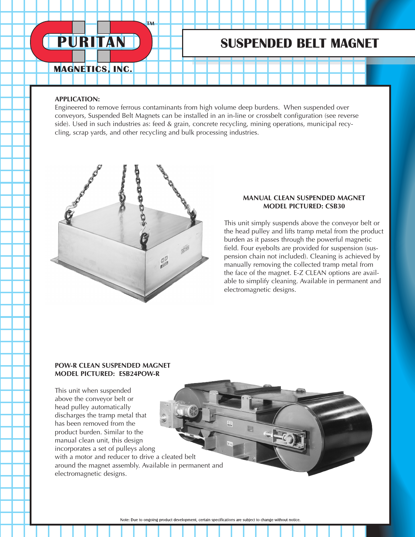# **PURITAN**

**TM** 

# **SUSPENDED BELT MAGNET**

### **MAGNETICS, INC.**

#### **APPLICATION:**

Engineered to remove ferrous contaminants from high volume deep burdens. When suspended over conveyors, Suspended Belt Magnets can be installed in an in-line or crossbelt configuration (see reverse side). Used in such industries as: feed & grain, concrete recycling, mining operations, municipal recycling, scrap yards, and other recycling and bulk processing industries.



#### **MANUAL CLEAN SUSPENDED MAGNET MODEL PICTURED: CSB30**

This unit simply suspends above the conveyor belt or the head pulley and lifts tramp metal from the product burden as it passes through the powerful magnetic field. Four eyebolts are provided for suspension (suspension chain not included). Cleaning is achieved by manually removing the collected tramp metal from the face of the magnet. E-Z CLEAN options are available to simplify cleaning. Available in permanent and electromagnetic designs.

#### **POW-R CLEAN SUSPENDED MAGNET MODEL PICTURED: ESB24POW-R**

This unit when suspended above the conveyor belt or head pulley automatically discharges the tramp metal that has been removed from the product burden. Similar to the manual clean unit, this design incorporates a set of pulleys along with a motor and reducer to drive a cleated belt around the magnet assembly. Available in permanent and electromagnetic designs.

Note: Due to ongoing product development, certain specifications are subject to change without notice.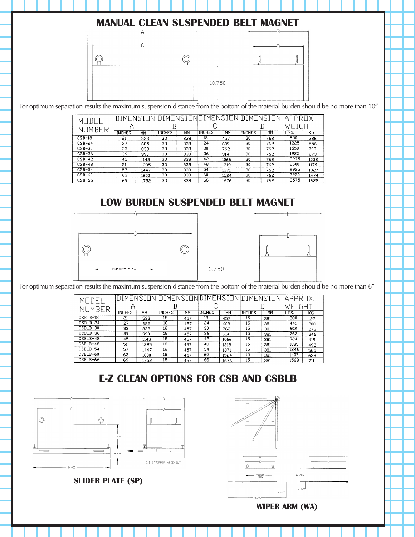### **MANUAL CLEAN SUSPENDED BELT MAGNET**



For optimum separation results the maximum suspension distance from the bottom of the material burden should be no more than 10"

| MODE     | IDIMENSIONI DIMENSIONIDIMENSIONIDIMENSIONI |      |               |     |               |      |               |     | <b>APPROX</b>                                               |      |
|----------|--------------------------------------------|------|---------------|-----|---------------|------|---------------|-----|-------------------------------------------------------------|------|
| NUMBER   |                                            |      |               |     |               |      |               |     | $WF$ ).                                                     | 'GHT |
|          | <b>INCHES</b>                              | MМ   | <b>INCHES</b> | MM  | <b>INCHES</b> | MM   | <b>INCHES</b> | MM  | LBS.<br>850<br>1225<br>1550<br>1925<br>2275<br>2600<br>2925 | КG   |
| $CSB-18$ | 21                                         | 533  | 33            | 838 | 18            | 457  | 30            | 762 |                                                             | 386  |
| $CSB-24$ | 27                                         | 685  | 33            | 838 | 24            | 609  | 30            | 762 |                                                             | 556  |
| $CSB-30$ | 33                                         | 838  | 33            | 838 | 30            | 762  | 30            | 762 |                                                             | 703  |
| $CSB-36$ | 39                                         | 990  | 33            | 838 | 36            | 914  | 30            | 762 |                                                             | 873  |
| $CSB-42$ | 45                                         | 1143 | 33            | 838 | 42            | 1066 | 30            | 762 |                                                             | 1032 |
| $CSB-48$ | 51                                         | 1295 | 33            | 838 | 48            | 1219 | 30            | 762 |                                                             | 1179 |
| $CSB-54$ | 57                                         | 1447 | 33            | 838 | 54            | 1371 | 30            | 762 |                                                             | 1327 |
| $CSB-60$ | 63                                         | 1600 | 33            | 838 | 60            | 1524 | 30            | 762 | 3250                                                        | 1474 |
| $CSB-66$ | 69                                         | 1752 | 33            | 838 | 66            | 1676 | 30            | 762 | 3575                                                        | 1622 |

### **LOW BURDEN SUSPENDED BELT MAGNET**





For optimum separation results the maximum suspension distance from the bottom of the material burden should be no more than 6"

| MUDEI      |               |      |               |     |               |      |               | DIMENSION DIMENSION DIMENSION DIMENSIONI | <b>APPROX</b> |     |
|------------|---------------|------|---------------|-----|---------------|------|---------------|------------------------------------------|---------------|-----|
| NUMBER     |               |      | Β             |     |               |      |               |                                          | WEIGHT        |     |
|            | <b>INCHES</b> | MM   | <b>INCHES</b> | ΜМ  | <b>INCHES</b> | MM   | <b>INCHES</b> | MM                                       | LBS.          | KG  |
| $CSBLB-18$ | 21            | 533  | 18            | 457 | 18            | 457  | 15            | 381                                      | 280           | 127 |
| CSBLB-24   | 27            | 685  | 18            | 457 | 24            | 609  | 15            | 381                                      | 441           | 200 |
| CSBLB-30   | 33            | 838  | 18            | 457 | 30            | 762  | 15            | 381                                      | 602           | 273 |
| $CSBLB-36$ | 39            | 990  | 18            | 457 | 36            | 914  | 15            | 381                                      | 763           | 346 |
| CSBLB-42   | 45            | 1143 | 18            | 457 | 42            | 1066 | 15            | 381                                      | 924           | 419 |
| $CSBLB-48$ | 51            | 1295 | 18            | 457 | 48            | 1219 | 15            | 381                                      | 1085          | 492 |
| CSBLB-54   | 57            | 1447 | 18            | 457 | 54            | 1371 | 15            | 381                                      | 1246          | 565 |
| CSBLB-60   | 63            | 1600 | 18            | 457 | 60            | 1524 | 15            | 381                                      | 1407          | 638 |
| CSBLB-66   | 69            | 1752 | 18            | 457 | 66            | 1676 | 15            | 381                                      | 1568          | 711 |

# **E-Z CLEAN OPTIONS FOR CSB AND CSBLB**



**SLIDER PLATE (SP)**



**WIPER ARM (WA)**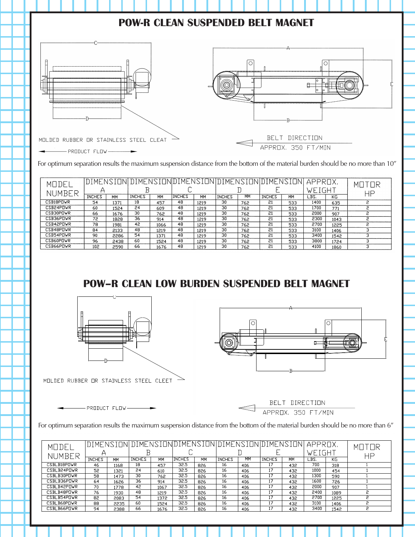

For optimum separation results the maximum suspension distance from the bottom of the material burden should be no more than 10"

| MODEI     |               |      |               |      |               |      |               |     | DIMENSION DIMENSION DIMENSION DIMENSION DIMENSI | 'ΠN | APPROX. |      | МΠ |
|-----------|---------------|------|---------------|------|---------------|------|---------------|-----|-------------------------------------------------|-----|---------|------|----|
| NUMBER    |               |      |               |      |               |      |               |     |                                                 |     | weight  |      | HP |
|           | <b>INCHES</b> | MM   | <b>INCHES</b> | MM   | <b>INCHES</b> | MM   | <b>INCHES</b> | MМ  | <b>INCHES</b>                                   | MM  | LBS.    | KG   |    |
| CSB18PDWR | 54            | 1371 | 18            | 457  | 48            | 1219 | 30            | 762 | 21                                              | 533 | 1400    | 635  |    |
| CSB24POWR | 60            | 1524 | 24            | 609  | 48            | 1219 | 30            | 762 | 21                                              | 533 | 1700    | 771  |    |
| CSB30POWR | 66            | 1676 | 30            | 762  | 48            | 1219 | 30            | 762 | 21                                              | 533 | 2000    | 907  |    |
| CSB36PDVR | 72            | 1828 | 36            | 914  | 48            | 1219 | 30            | 762 | 21                                              | 533 | 2300    | 1043 |    |
| CSB42POWR | 78            | 1981 | 42            | 1066 | 48            | 1219 | 30            | 762 | 21                                              | 533 | 2700    | 1225 |    |
| CSB48PNWR | 84            | 2133 | 48            | 1219 | 48            | 1219 | 30            | 762 | 21                                              | 533 | 3100    | 1406 |    |
| CSB54PNWR | 90            | 2286 | 54            | 1371 | 48            | 1219 | 30            | 762 | 21                                              | 533 | 3400    | 1542 |    |
| CSB60POWR | 96            | 2438 | 60            | 1524 | 48            | 1219 | 30            | 762 | 21                                              | 533 | 3800    | 1724 |    |
| CSB66POWR | 102           | 2590 | 66            | 1676 | 48            | 1219 | 30            | 762 | 21                                              | 533 | 4100    | 1860 |    |

## **POW–R CLEAN LOW BURDEN SUSPENDED BELT MAGNET**





MOLDED RUBBER OR STAINLESS STEEL CLEET

 $-$  PRODUCT FLOW  $-$ 

T DIRECTION APPROX, 350 FT/MIN

For optimum separation results the maximum suspension distance from the bottom of the material burden should be no more than 6"

| MODEI              | <u> DIMENSION DIMENSION DIMENSION DIMENSION DIMENSION </u> |      |               |      |               |           |               |     |               |           | APPROX. |      | MI I         |
|--------------------|------------------------------------------------------------|------|---------------|------|---------------|-----------|---------------|-----|---------------|-----------|---------|------|--------------|
| NUMBER             |                                                            |      |               |      |               |           |               |     |               |           | WEIGH   |      | <b>HP</b>    |
|                    | <b>INCHES</b>                                              | MM   | <b>INCHES</b> | MM   | <b>INCHES</b> | <b>MM</b> | <b>INCHES</b> | MМ  | <b>INCHES</b> | <b>MM</b> | LBS.    | КG   |              |
| CSBLB18PDWR        | 46                                                         | 1168 | 18            | 457  | 32.5          | 826       | 16            | 406 | 17            | 432       | 700     | 318  |              |
| CSBLB24POWR        | 52                                                         | 1321 | 24            | 610  | 32.5          | 826       | 16            | 406 | 17            | 432       | 1000    | 454  |              |
| CSBLB30PDVR        | 58                                                         | 1473 | 30            | 762  | 32.5          | 826       | 16            | 406 | 17            | 432       | 1300    | 590  |              |
| CSBLB36POWR        | 64                                                         | 1626 | 36            | 914  | 32.5          | 826       | 16            | 406 | 17            | 432       | 1600    | 726  |              |
| CSBLB42POVR        | 70                                                         | 1778 | 42            | 1067 | 32.5          | 826       | 16            | 406 | 17            | 432       | 2000    | 907  |              |
| CSBLB48POWR        | 76                                                         | 1930 | 48            | 1219 | 32.5          | 826       | 16            | 406 | 17            | 432       | 2400    | 1089 |              |
| CSBLB54POWR        | 82                                                         | 2083 | 54            | 1372 | 32.5          | 826       | 16            | 406 | 17            | 432       | 2700    | 1225 | $\mathbf{D}$ |
| CSBLB60PDWR        | 88                                                         | 2235 | 60            | 1524 | 32.5          | 826       | 16            | 406 | 17            | 432       | 3100    | 1406 | $\circ$      |
| <b>CSBLB66POWR</b> | 94                                                         | 2388 | 66            | 1676 | 32.5          | 826       | 16            | 406 | 17            | 432       | 3400    | 1542 | S            |